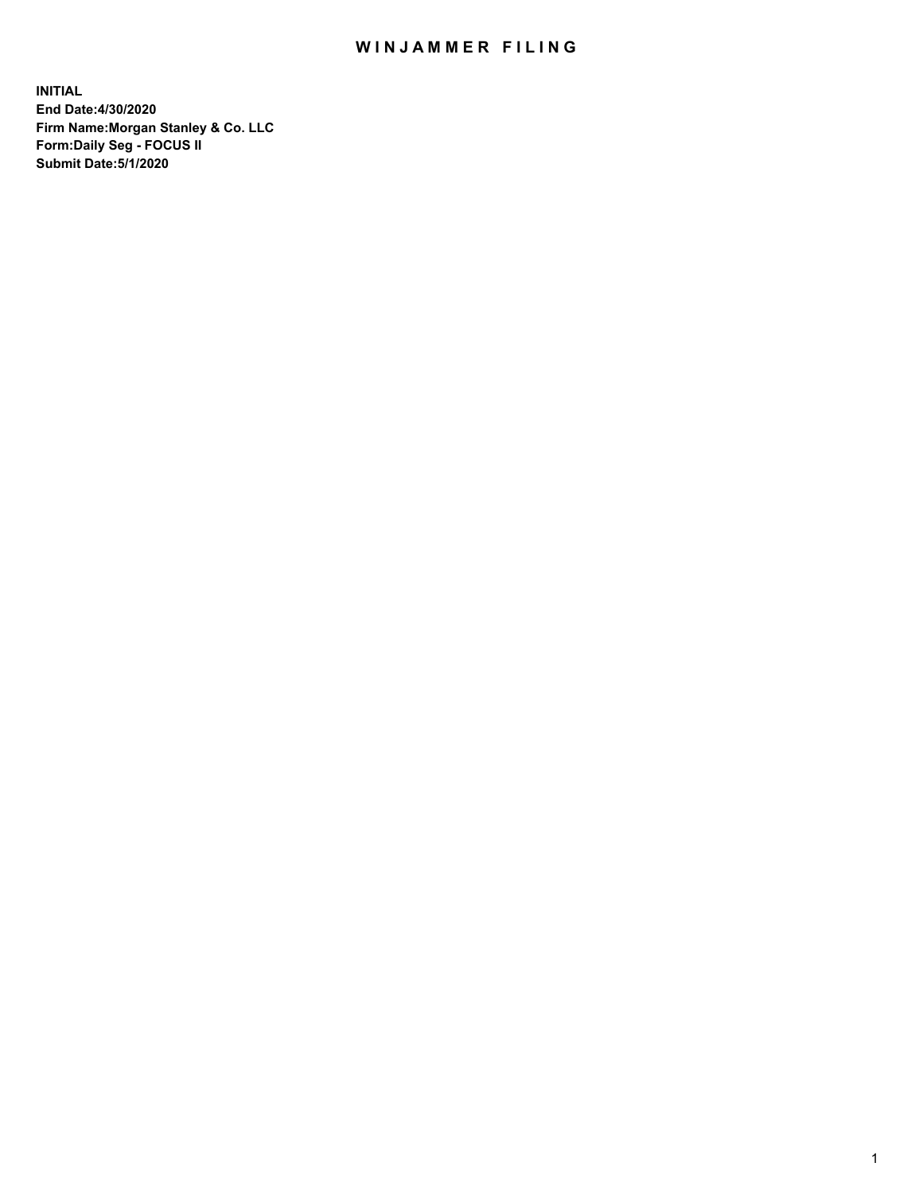## WIN JAMMER FILING

**INITIAL End Date:4/30/2020 Firm Name:Morgan Stanley & Co. LLC Form:Daily Seg - FOCUS II Submit Date:5/1/2020**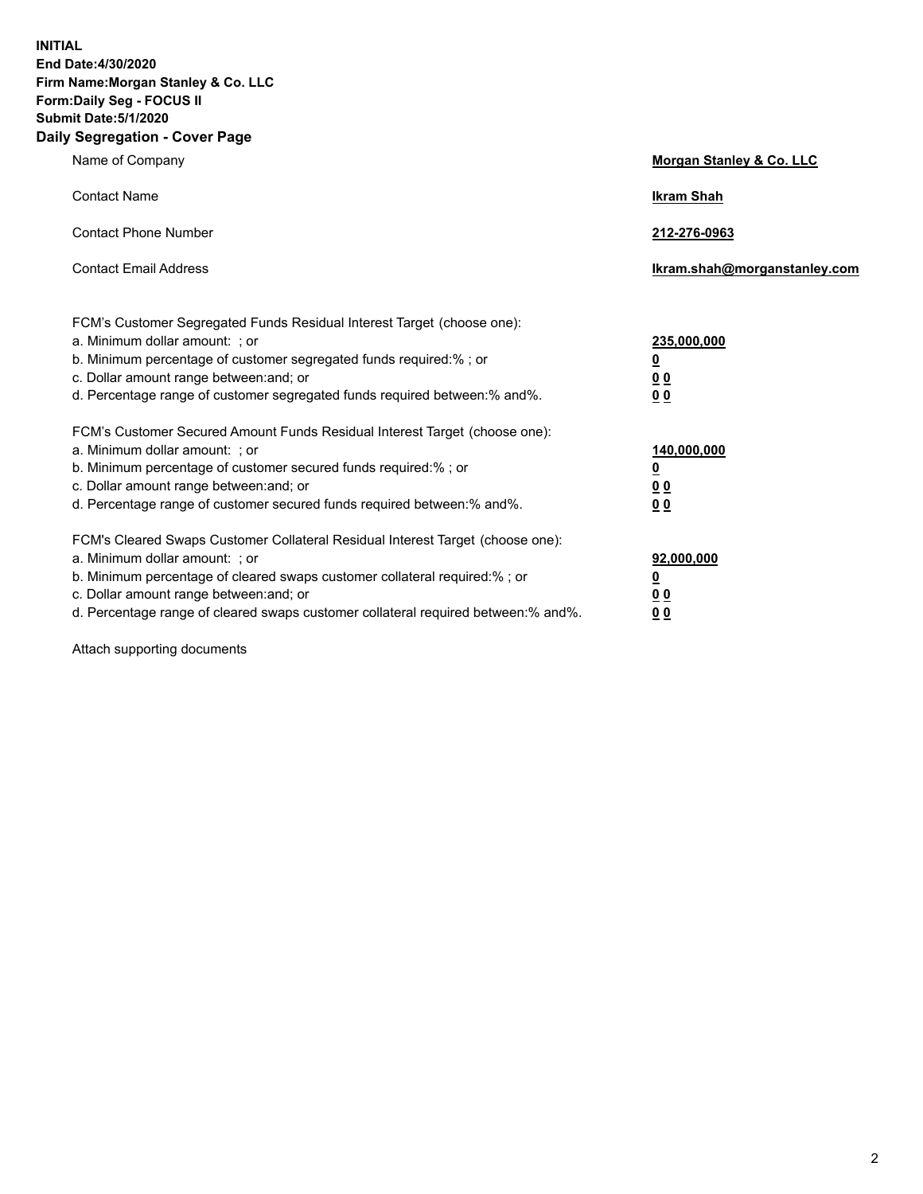**INITIAL End Date:4/30/2020 Firm Name:Morgan Stanley & Co. LLC Form:Daily Seg - FOCUS II Submit Date:5/1/2020 Daily Segregation - Cover Page**

| Name of Company                                                                                                                                                                                                                                                                                                                | Morgan Stanley & Co. LLC                                    |
|--------------------------------------------------------------------------------------------------------------------------------------------------------------------------------------------------------------------------------------------------------------------------------------------------------------------------------|-------------------------------------------------------------|
| <b>Contact Name</b>                                                                                                                                                                                                                                                                                                            | <b>Ikram Shah</b>                                           |
| <b>Contact Phone Number</b>                                                                                                                                                                                                                                                                                                    | 212-276-0963                                                |
| <b>Contact Email Address</b>                                                                                                                                                                                                                                                                                                   | Ikram.shah@morganstanley.com                                |
| FCM's Customer Segregated Funds Residual Interest Target (choose one):<br>a. Minimum dollar amount: ; or<br>b. Minimum percentage of customer segregated funds required:% ; or<br>c. Dollar amount range between: and; or<br>d. Percentage range of customer segregated funds required between:% and%.                         | 235,000,000<br><u>0</u><br>0 <sup>0</sup><br>00             |
| FCM's Customer Secured Amount Funds Residual Interest Target (choose one):<br>a. Minimum dollar amount: ; or<br>b. Minimum percentage of customer secured funds required:% ; or<br>c. Dollar amount range between: and; or<br>d. Percentage range of customer secured funds required between:% and%.                           | 140,000,000<br><u>0</u><br>0 <sub>0</sub><br>0 <sub>0</sub> |
| FCM's Cleared Swaps Customer Collateral Residual Interest Target (choose one):<br>a. Minimum dollar amount: ; or<br>b. Minimum percentage of cleared swaps customer collateral required:% ; or<br>c. Dollar amount range between: and; or<br>d. Percentage range of cleared swaps customer collateral required between:% and%. | 92,000,000<br><u>0</u><br>0 Q<br>0 <sub>0</sub>             |

Attach supporting documents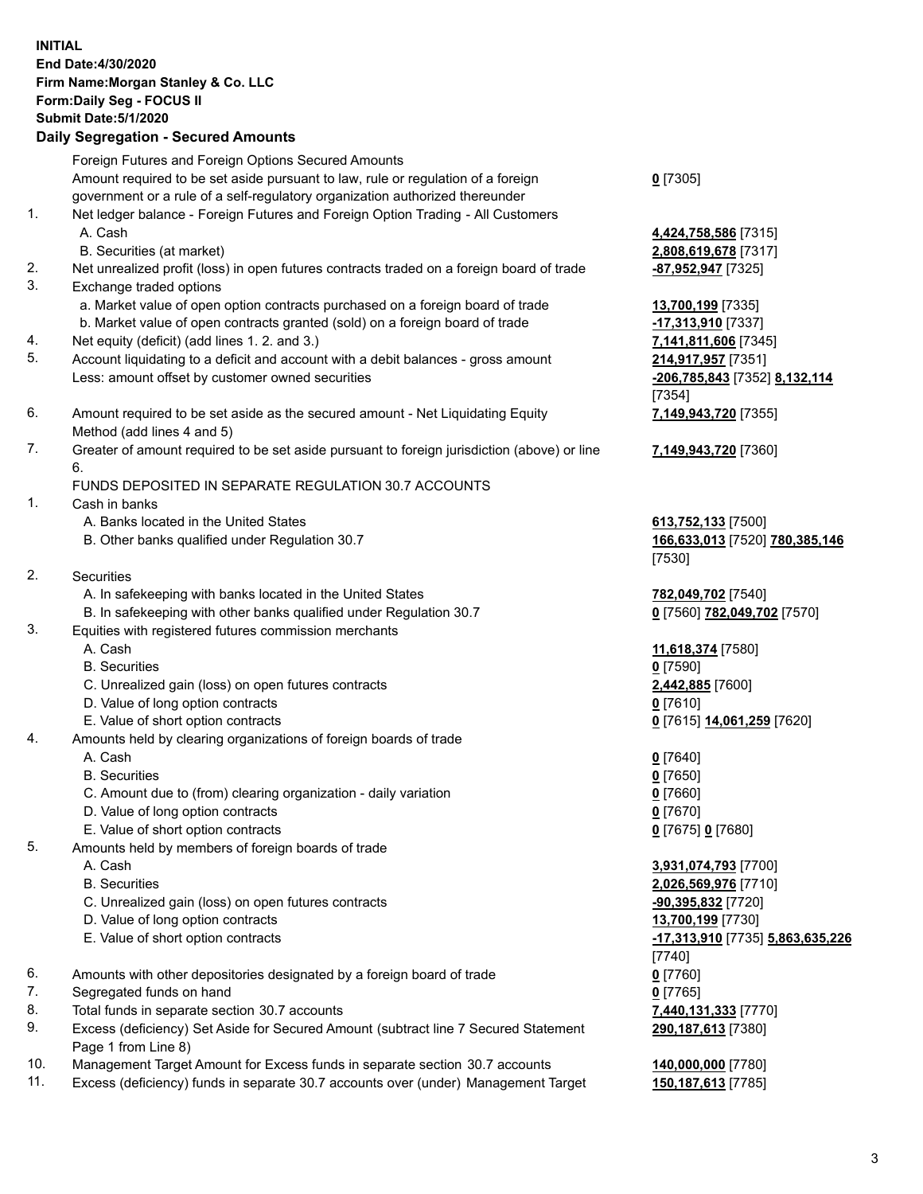|     | <b>INITIAL</b><br>End Date: 4/30/2020<br>Firm Name: Morgan Stanley & Co. LLC<br>Form: Daily Seg - FOCUS II<br><b>Submit Date: 5/1/2020</b>                                                                              |                                                          |
|-----|-------------------------------------------------------------------------------------------------------------------------------------------------------------------------------------------------------------------------|----------------------------------------------------------|
|     | <b>Daily Segregation - Secured Amounts</b>                                                                                                                                                                              |                                                          |
|     | Foreign Futures and Foreign Options Secured Amounts<br>Amount required to be set aside pursuant to law, rule or regulation of a foreign<br>government or a rule of a self-regulatory organization authorized thereunder | $Q$ [7305]                                               |
| 1.  | Net ledger balance - Foreign Futures and Foreign Option Trading - All Customers<br>A. Cash<br>B. Securities (at market)                                                                                                 | 4,424,758,586 [7315]<br>2,808,619,678 [7317]             |
| 2.  | Net unrealized profit (loss) in open futures contracts traded on a foreign board of trade                                                                                                                               | <u>-87,952,947</u> [7325]                                |
| 3.  | Exchange traded options<br>a. Market value of open option contracts purchased on a foreign board of trade                                                                                                               | 13,700,199 [7335]                                        |
|     | b. Market value of open contracts granted (sold) on a foreign board of trade                                                                                                                                            | -17,313,910 [7337]                                       |
| 4.  | Net equity (deficit) (add lines 1. 2. and 3.)                                                                                                                                                                           | 7,141,811,606 [7345]                                     |
| 5.  | Account liquidating to a deficit and account with a debit balances - gross amount                                                                                                                                       | 214,917,957 [7351]                                       |
|     | Less: amount offset by customer owned securities                                                                                                                                                                        | -206,785,843 [7352] 8,132,114<br>[7354]                  |
| 6.  | Amount required to be set aside as the secured amount - Net Liquidating Equity<br>Method (add lines 4 and 5)                                                                                                            | 7,149,943,720 [7355]                                     |
| 7.  | Greater of amount required to be set aside pursuant to foreign jurisdiction (above) or line<br>6.                                                                                                                       | 7,149,943,720 [7360]                                     |
|     | FUNDS DEPOSITED IN SEPARATE REGULATION 30.7 ACCOUNTS                                                                                                                                                                    |                                                          |
| 1.  | Cash in banks                                                                                                                                                                                                           |                                                          |
|     | A. Banks located in the United States                                                                                                                                                                                   | 613,752,133 [7500]                                       |
|     | B. Other banks qualified under Regulation 30.7                                                                                                                                                                          | 166,633,013 [7520] 780,385,146<br>[7530]                 |
| 2.  | <b>Securities</b>                                                                                                                                                                                                       |                                                          |
|     | A. In safekeeping with banks located in the United States                                                                                                                                                               | 782,049,702 [7540]                                       |
|     | B. In safekeeping with other banks qualified under Regulation 30.7                                                                                                                                                      | 0 [7560] 782,049,702 [7570]                              |
| 3.  | Equities with registered futures commission merchants                                                                                                                                                                   |                                                          |
|     | A. Cash                                                                                                                                                                                                                 | 11,618,374 [7580]                                        |
|     | <b>B.</b> Securities                                                                                                                                                                                                    | $0$ [7590]                                               |
|     | C. Unrealized gain (loss) on open futures contracts                                                                                                                                                                     | 2,442,885 [7600]                                         |
|     | D. Value of long option contracts                                                                                                                                                                                       | <u>0</u> [7610]                                          |
|     | E. Value of short option contracts                                                                                                                                                                                      | 0 [7615] 14,061,259 [7620]                               |
| 4.  | Amounts held by clearing organizations of foreign boards of trade                                                                                                                                                       |                                                          |
|     | A. Cash                                                                                                                                                                                                                 | $0$ [7640]                                               |
|     | <b>B.</b> Securities                                                                                                                                                                                                    | $0$ [7650]                                               |
|     | C. Amount due to (from) clearing organization - daily variation                                                                                                                                                         | $0$ [7660]                                               |
|     | D. Value of long option contracts                                                                                                                                                                                       | $0$ [7670]                                               |
|     | E. Value of short option contracts                                                                                                                                                                                      | 0 [7675] 0 [7680]                                        |
| 5.  | Amounts held by members of foreign boards of trade                                                                                                                                                                      |                                                          |
|     | A. Cash                                                                                                                                                                                                                 | 3,931,074,793 [7700]                                     |
|     | <b>B.</b> Securities                                                                                                                                                                                                    | 2,026,569,976 [7710]                                     |
|     | C. Unrealized gain (loss) on open futures contracts                                                                                                                                                                     | <u>-90,395,832</u> [7720]                                |
|     | D. Value of long option contracts                                                                                                                                                                                       | 13,700,199 [7730]                                        |
|     | E. Value of short option contracts                                                                                                                                                                                      | <u>-17,313,910</u> [7735] <u>5,863,635,226</u><br>[7740] |
| 6.  | Amounts with other depositories designated by a foreign board of trade                                                                                                                                                  | 0 [7760]                                                 |
| 7.  | Segregated funds on hand                                                                                                                                                                                                | $0$ [7765]                                               |
| 8.  | Total funds in separate section 30.7 accounts                                                                                                                                                                           | 7,440,131,333 [7770]                                     |
| 9.  | Excess (deficiency) Set Aside for Secured Amount (subtract line 7 Secured Statement<br>Page 1 from Line 8)                                                                                                              | 290,187,613 [7380]                                       |
| 10. | Management Target Amount for Excess funds in separate section 30.7 accounts                                                                                                                                             | 140,000,000 [7780]                                       |
| 11. | Excess (deficiency) funds in separate 30.7 accounts over (under) Management Target                                                                                                                                      | 150,187,613 [7785]                                       |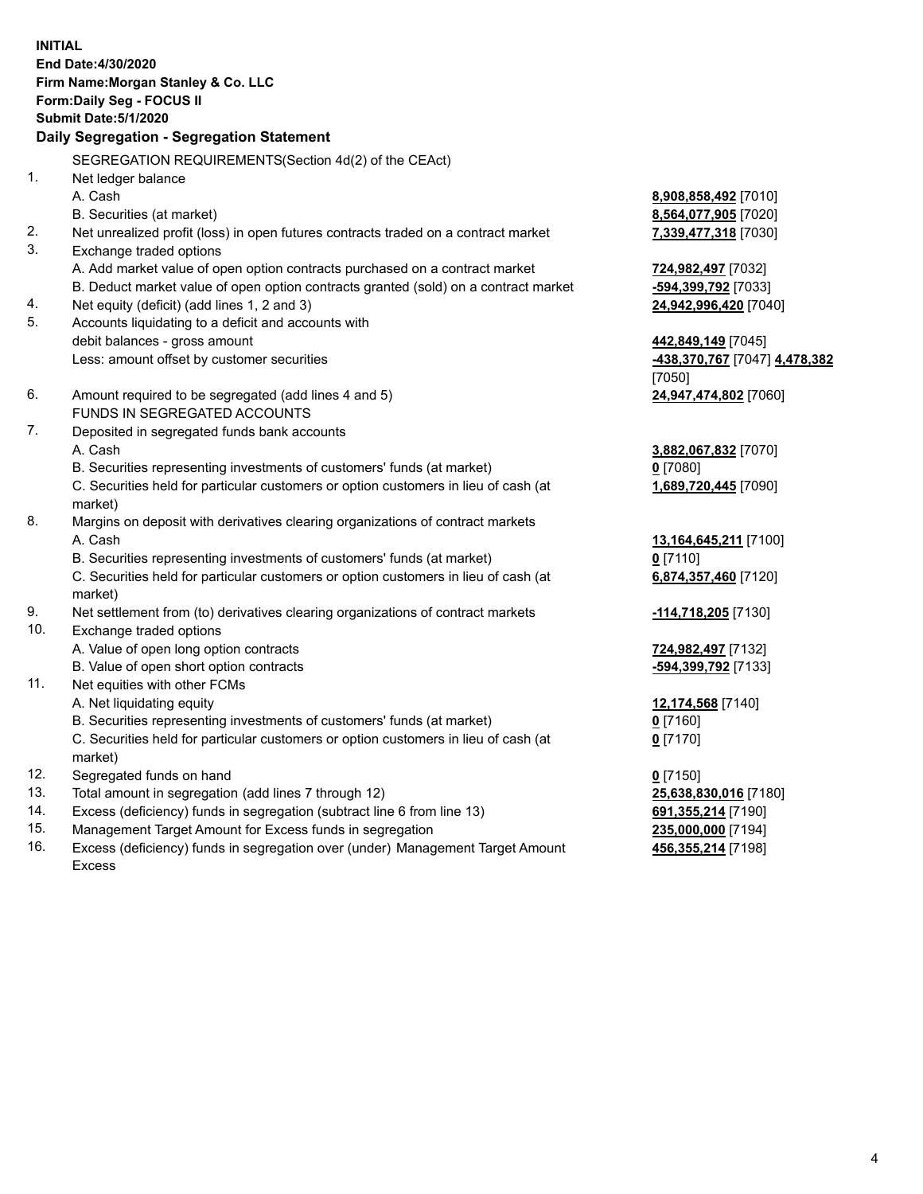|            | <b>INITIAL</b><br>End Date: 4/30/2020<br>Firm Name: Morgan Stanley & Co. LLC<br>Form: Daily Seg - FOCUS II<br><b>Submit Date: 5/1/2020</b><br>Daily Segregation - Segregation Statement |                                          |
|------------|-----------------------------------------------------------------------------------------------------------------------------------------------------------------------------------------|------------------------------------------|
|            | SEGREGATION REQUIREMENTS(Section 4d(2) of the CEAct)                                                                                                                                    |                                          |
| 1.         | Net ledger balance                                                                                                                                                                      |                                          |
|            | A. Cash                                                                                                                                                                                 | 8,908,858,492 [7010]                     |
|            | B. Securities (at market)                                                                                                                                                               | 8,564,077,905 [7020]                     |
| 2.         | Net unrealized profit (loss) in open futures contracts traded on a contract market                                                                                                      | 7,339,477,318 [7030]                     |
| 3.         | Exchange traded options                                                                                                                                                                 |                                          |
|            | A. Add market value of open option contracts purchased on a contract market                                                                                                             | 724,982,497 [7032]                       |
|            | B. Deduct market value of open option contracts granted (sold) on a contract market                                                                                                     | -594,399,792 [7033]                      |
| 4.         | Net equity (deficit) (add lines 1, 2 and 3)                                                                                                                                             | 24,942,996,420 [7040]                    |
| 5.         | Accounts liquidating to a deficit and accounts with                                                                                                                                     |                                          |
|            | debit balances - gross amount                                                                                                                                                           | 442,849,149 [7045]                       |
|            | Less: amount offset by customer securities                                                                                                                                              | -438,370,767 [7047] 4,478,382            |
|            |                                                                                                                                                                                         | [7050]                                   |
| 6.         | Amount required to be segregated (add lines 4 and 5)<br>FUNDS IN SEGREGATED ACCOUNTS                                                                                                    | 24,947,474,802 [7060]                    |
| 7.         | Deposited in segregated funds bank accounts                                                                                                                                             |                                          |
|            | A. Cash                                                                                                                                                                                 | 3,882,067,832 [7070]                     |
|            | B. Securities representing investments of customers' funds (at market)                                                                                                                  | $0$ [7080]                               |
|            | C. Securities held for particular customers or option customers in lieu of cash (at                                                                                                     | 1,689,720,445 [7090]                     |
|            | market)                                                                                                                                                                                 |                                          |
| 8.         | Margins on deposit with derivatives clearing organizations of contract markets                                                                                                          |                                          |
|            | A. Cash                                                                                                                                                                                 | 13,164,645,211 [7100]                    |
|            | B. Securities representing investments of customers' funds (at market)                                                                                                                  | $0$ [7110]                               |
|            | C. Securities held for particular customers or option customers in lieu of cash (at                                                                                                     | 6,874,357,460 [7120]                     |
|            | market)                                                                                                                                                                                 |                                          |
| 9.         | Net settlement from (to) derivatives clearing organizations of contract markets                                                                                                         | -114,718,205 [7130]                      |
| 10.        | Exchange traded options                                                                                                                                                                 |                                          |
|            | A. Value of open long option contracts                                                                                                                                                  | 724,982,497 [7132]                       |
|            | B. Value of open short option contracts                                                                                                                                                 | -594,399,792 [7133]                      |
| 11.        | Net equities with other FCMs                                                                                                                                                            |                                          |
|            | A. Net liquidating equity                                                                                                                                                               | 12,174,568 [7140]                        |
|            | B. Securities representing investments of customers' funds (at market)                                                                                                                  | $0$ [7160]                               |
|            | C. Securities held for particular customers or option customers in lieu of cash (at                                                                                                     | $0$ [7170]                               |
|            | market)                                                                                                                                                                                 |                                          |
| 12.        | Segregated funds on hand                                                                                                                                                                | $0$ [7150]                               |
| 13.        | Total amount in segregation (add lines 7 through 12)                                                                                                                                    | 25,638,830,016 [7180]                    |
| 14.<br>15. | Excess (deficiency) funds in segregation (subtract line 6 from line 13)                                                                                                                 | 691, 355, 214 [7190]                     |
| 16.        | Management Target Amount for Excess funds in segregation<br>Excess (deficiency) funds in segregation over (under) Management Target Amount                                              | 235,000,000 [7194]<br>456,355,214 [7198] |
|            |                                                                                                                                                                                         |                                          |

16. Excess (deficiency) funds in segregation over (under) Management Target Amount Excess